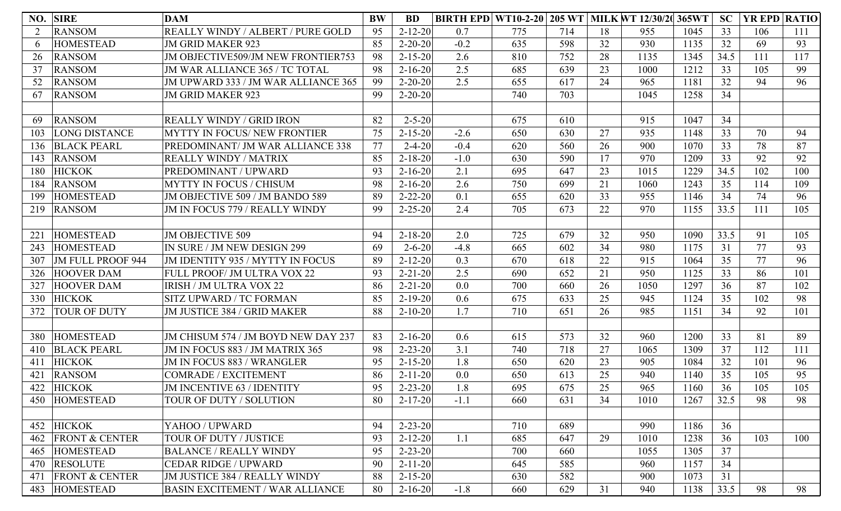| NO. | <b>SIRE</b>               | <b>DAM</b>                                | <b>BW</b> | <b>BD</b>     | <b>BIRTH EPD WT10-2-20 205 WT MILK WT 12/30/20</b> |     |     |    |      | 365WT | SC   | YR EPD RATIO |     |
|-----|---------------------------|-------------------------------------------|-----------|---------------|----------------------------------------------------|-----|-----|----|------|-------|------|--------------|-----|
|     | <b>RANSOM</b>             | REALLY WINDY / ALBERT / PURE GOLD         | 95        | $2 - 12 - 20$ | 0.7                                                | 775 | 714 | 18 | 955  | 1045  | 33   | 106          | 111 |
| 6   | <b>HOMESTEAD</b>          | <b>JM GRID MAKER 923</b>                  | 85        | $2 - 20 - 20$ | $-0.2$                                             | 635 | 598 | 32 | 930  | 1135  | 32   | 69           | 93  |
| 26  | <b>RANSOM</b>             | <b>JM OBJECTIVE509/JM NEW FRONTIER753</b> | 98        | $2 - 15 - 20$ | 2.6                                                | 810 | 752 | 28 | 1135 | 1345  | 34.5 | 111          | 117 |
| 37  | <b>RANSOM</b>             | JM WAR ALLIANCE 365 / TC TOTAL            | 98        | $2 - 16 - 20$ | 2.5                                                | 685 | 639 | 23 | 1000 | 1212  | 33   | 105          | 99  |
| 52  | <b>RANSOM</b>             | JM UPWARD 333 / JM WAR ALLIANCE 365       | 99        | $2 - 20 - 20$ | 2.5                                                | 655 | 617 | 24 | 965  | 1181  | 32   | 94           | 96  |
| 67  | <b>RANSOM</b>             | <b>JM GRID MAKER 923</b>                  | 99        | $2 - 20 - 20$ |                                                    | 740 | 703 |    | 1045 | 1258  | 34   |              |     |
|     |                           |                                           |           |               |                                                    |     |     |    |      |       |      |              |     |
| 69  | <b>RANSOM</b>             | <b>REALLY WINDY / GRID IRON</b>           | 82        | $2 - 5 - 20$  |                                                    | 675 | 610 |    | 915  | 1047  | 34   |              |     |
| 103 | <b>LONG DISTANCE</b>      | <b>MYTTY IN FOCUS/ NEW FRONTIER</b>       | 75        | $2 - 15 - 20$ | $-2.6$                                             | 650 | 630 | 27 | 935  | 1148  | 33   | 70           | 94  |
| 136 | <b>BLACK PEARL</b>        | PREDOMINANT/ JM WAR ALLIANCE 338          | 77        | $2 - 4 - 20$  | $-0.4$                                             | 620 | 560 | 26 | 900  | 1070  | 33   | 78           | 87  |
| 143 | <b>RANSOM</b>             | <b>REALLY WINDY / MATRIX</b>              | 85        | $2 - 18 - 20$ | $-1.0$                                             | 630 | 590 | 17 | 970  | 1209  | 33   | 92           | 92  |
| 180 | <b>HICKOK</b>             | PREDOMINANT / UPWARD                      | 93        | $2 - 16 - 20$ | 2.1                                                | 695 | 647 | 23 | 1015 | 1229  | 34.5 | 102          | 100 |
| 184 | <b>RANSOM</b>             | <b>MYTTY IN FOCUS / CHISUM</b>            | 98        | $2 - 16 - 20$ | 2.6                                                | 750 | 699 | 21 | 1060 | 1243  | 35   | 114          | 109 |
| 199 | <b>HOMESTEAD</b>          | JM OBJECTIVE 509 / JM BANDO 589           | 89        | $2 - 22 - 20$ | 0.1                                                | 655 | 620 | 33 | 955  | 1146  | 34   | 74           | 96  |
| 219 | <b>RANSOM</b>             | JM IN FOCUS 779 / REALLY WINDY            | 99        | $2 - 25 - 20$ | 2.4                                                | 705 | 673 | 22 | 970  | 1155  | 33.5 | 111          | 105 |
|     |                           |                                           |           |               |                                                    |     |     |    |      |       |      |              |     |
| 221 | <b>HOMESTEAD</b>          | <b>JM OBJECTIVE 509</b>                   | 94        | $2 - 18 - 20$ | 2.0                                                | 725 | 679 | 32 | 950  | 1090  | 33.5 | 91           | 105 |
| 243 | <b>HOMESTEAD</b>          | IN SURE / JM NEW DESIGN 299               | 69        | $2 - 6 - 20$  | $-4.8$                                             | 665 | 602 | 34 | 980  | 1175  | 31   | 77           | 93  |
| 307 | <b>JM FULL PROOF 944</b>  | JM IDENTITY 935 / MYTTY IN FOCUS          | 89        | $2 - 12 - 20$ | 0.3                                                | 670 | 618 | 22 | 915  | 1064  | 35   | 77           | 96  |
| 326 | <b>HOOVER DAM</b>         | FULL PROOF/ JM ULTRA VOX 22               | 93        | $2 - 21 - 20$ | 2.5                                                | 690 | 652 | 21 | 950  | 1125  | 33   | 86           | 101 |
| 327 | <b>HOOVER DAM</b>         | <b>IRISH / JM ULTRA VOX 22</b>            | 86        | $2 - 21 - 20$ | 0.0                                                | 700 | 660 | 26 | 1050 | 1297  | 36   | 87           | 102 |
| 330 | <b>HICKOK</b>             | SITZ UPWARD / TC FORMAN                   | 85        | $2 - 19 - 20$ | 0.6                                                | 675 | 633 | 25 | 945  | 1124  | 35   | 102          | 98  |
| 372 | <b>TOUR OF DUTY</b>       | JM JUSTICE 384 / GRID MAKER               | 88        | $2 - 10 - 20$ | 1.7                                                | 710 | 651 | 26 | 985  | 1151  | 34   | 92           | 101 |
|     |                           |                                           |           |               |                                                    |     |     |    |      |       |      |              |     |
| 380 | <b>HOMESTEAD</b>          | JM CHISUM 574 / JM BOYD NEW DAY 237       | 83        | $2 - 16 - 20$ | 0.6                                                | 615 | 573 | 32 | 960  | 1200  | 33   | 81           | 89  |
| 410 | <b>BLACK PEARL</b>        | JM IN FOCUS 883 / JM MATRIX 365           | 98        | $2 - 23 - 20$ | 3.1                                                | 740 | 718 | 27 | 1065 | 1309  | 37   | 112          | 111 |
| 411 | <b>HICKOK</b>             | <b>JM IN FOCUS 883 / WRANGLER</b>         | 95        | $2 - 15 - 20$ | 1.8                                                | 650 | 620 | 23 | 905  | 1084  | 32   | 101          | 96  |
| 421 | <b>RANSOM</b>             | <b>COMRADE / EXCITEMENT</b>               | 86        | $2 - 11 - 20$ | 0.0                                                | 650 | 613 | 25 | 940  | 1140  | 35   | 105          | 95  |
|     | 422 HICKOK                | JM INCENTIVE 63 / IDENTITY                | 95        | $2 - 23 - 20$ | 1.8                                                | 695 | 675 | 25 | 965  | 1160  | 36   | 105          | 105 |
| 450 | <b>HOMESTEAD</b>          | TOUR OF DUTY / SOLUTION                   | 80        | $2 - 17 - 20$ | $-1.1$                                             | 660 | 631 | 34 | 1010 | 1267  | 32.5 | 98           | 98  |
|     |                           |                                           |           |               |                                                    |     |     |    |      |       |      |              |     |
| 452 | <b>HICKOK</b>             | YAHOO / UPWARD                            | 94        | $2 - 23 - 20$ |                                                    | 710 | 689 |    | 990  | 1186  | 36   |              |     |
| 462 | <b>FRONT &amp; CENTER</b> | TOUR OF DUTY / JUSTICE                    | 93        | $2 - 12 - 20$ | 1.1                                                | 685 | 647 | 29 | 1010 | 1238  | 36   | 103          | 100 |
| 465 | <b>HOMESTEAD</b>          | <b>BALANCE / REALLY WINDY</b>             | 95        | $2 - 23 - 20$ |                                                    | 700 | 660 |    | 1055 | 1305  | 37   |              |     |
| 470 | <b>RESOLUTE</b>           | <b>CEDAR RIDGE / UPWARD</b>               | 90        | $2 - 11 - 20$ |                                                    | 645 | 585 |    | 960  | 1157  | 34   |              |     |
| 471 | <b>FRONT &amp; CENTER</b> | JM JUSTICE 384 / REALLY WINDY             | 88        | $2 - 15 - 20$ |                                                    | 630 | 582 |    | 900  | 1073  | 31   |              |     |
| 483 | <b>HOMESTEAD</b>          | <b>BASIN EXCITEMENT / WAR ALLIANCE</b>    | 80        | $2 - 16 - 20$ | $-1.8$                                             | 660 | 629 | 31 | 940  | 1138  | 33.5 | 98           | 98  |